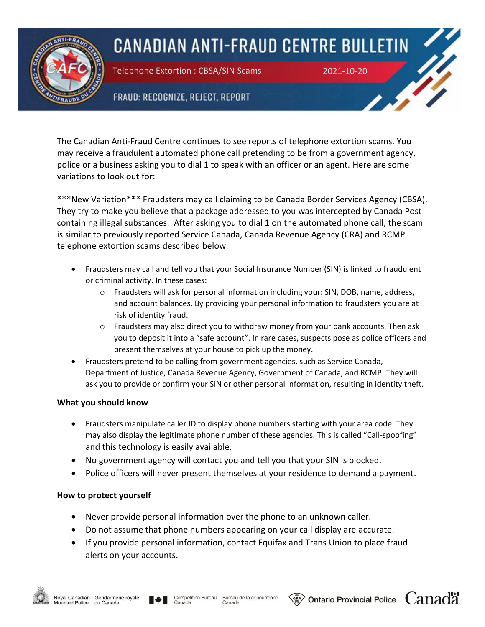

## **CANADIAN ANTI-FRAUD CENTRE BULLETIN**

Telephone Extortion : CBSA/SIN Scams 2021-10-20

## FRAUD: RECOGNIZE, REJECT, REPORT

The Canadian Anti-Fraud Centre continues to see reports of telephone extortion scams. You may receive a fraudulent automated phone call pretending to be from a government agency, police or a business asking you to dial 1 to speak with an officer or an agent. Here are some variations to look out for:

\*\*\*New Variation\*\*\* Fraudsters may call claiming to be Canada Border Services Agency (CBSA). They try to make you believe that a package addressed to you was intercepted by Canada Post containing illegal substances. After asking you to dial 1 on the automated phone call, the scam is similar to previously reported Service Canada, Canada Revenue Agency (CRA) and RCMP telephone extortion scams described below.

- Fraudsters may call and tell you that your Social Insurance Number (SIN) is linked to fraudulent or criminal activity. In these cases:
	- o Fraudsters will ask for personal information including your: SIN, DOB, name, address, and account balances. By providing your personal information to fraudsters you are at risk of identity fraud.
	- $\circ$  Fraudsters may also direct you to withdraw money from your bank accounts. Then ask you to deposit it into a "safe account". In rare cases, suspects pose as police officers and present themselves at your house to pick up the money.
- Fraudsters pretend to be calling from government agencies, such as Service Canada, Department of Justice, Canada Revenue Agency, Government of Canada, and RCMP. They will ask you to provide or confirm your SIN or other personal information, resulting in identity theft.

## **What you should know**

- Fraudsters manipulate caller ID to display phone numbers starting with your area code. They may also display the legitimate phone number of these agencies. This is called "Call-spoofing" and this technology is easily available.
- No government agency will contact you and tell you that your SIN is blocked.
- Police officers will never present themselves at your residence to demand a payment.

## **How to protect yourself**

- Never provide personal information over the phone to an unknown caller.
- Do not assume that phone numbers appearing on your call display are accurate.
- If you provide personal information, contact Equifax and Trans Union to place fraud alerts on your accounts.